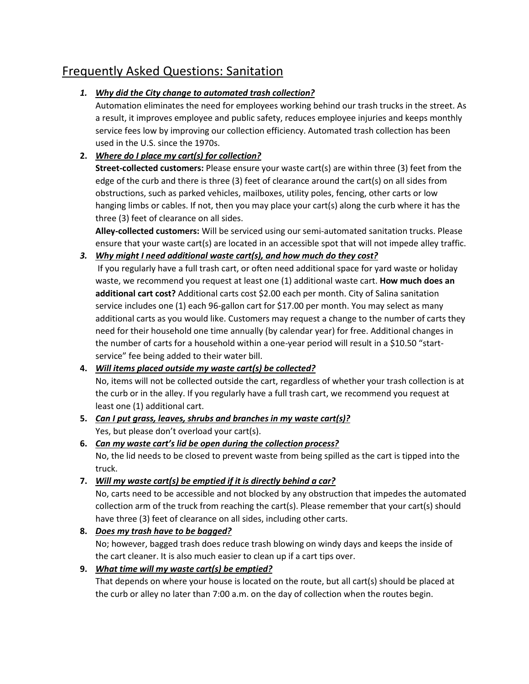# Frequently Asked Questions: Sanitation

## *1. Why did the City change to automated trash collection?*

Automation eliminates the need for employees working behind our trash trucks in the street. As a result, it improves employee and public safety, reduces employee injuries and keeps monthly service fees low by improving our collection efficiency. Automated trash collection has been used in the U.S. since the 1970s.

## **2.** *Where do I place my cart(s) for collection?*

**Street-collected customers:** Please ensure your waste cart(s) are within three (3) feet from the edge of the curb and there is three (3) feet of clearance around the cart(s) on all sides from obstructions, such as parked vehicles, mailboxes, utility poles, fencing, other carts or low hanging limbs or cables. If not, then you may place your cart(s) along the curb where it has the three (3) feet of clearance on all sides.

**Alley-collected customers:** Will be serviced using our semi-automated sanitation trucks. Please ensure that your waste cart(s) are located in an accessible spot that will not impede alley traffic.

#### *3. Why might I need additional waste cart(s), and how much do they cost?*

If you regularly have a full trash cart, or often need additional space for yard waste or holiday waste, we recommend you request at least one (1) additional waste cart. **How much does an additional cart cost?** Additional carts cost \$2.00 each per month. City of Salina sanitation service includes one (1) each 96-gallon cart for \$17.00 per month. You may select as many additional carts as you would like. Customers may request a change to the number of carts they need for their household one time annually (by calendar year) for free. Additional changes in the number of carts for a household within a one-year period will result in a \$10.50 "startservice" fee being added to their water bill.

#### **4.** *Will items placed outside my waste cart(s) be collected?*

No, items will not be collected outside the cart, regardless of whether your trash collection is at the curb or in the alley. If you regularly have a full trash cart, we recommend you request at least one (1) additional cart.

- **5.** *Can I put grass, leaves, shrubs and branches in my waste cart(s)?* Yes, but please don't overload your cart(s).
- **6.** *Can my waste cart's lid be open during the collection process?* No, the lid needs to be closed to prevent waste from being spilled as the cart is tipped into the truck.

## **7.** *Will my waste cart(s) be emptied if it is directly behind a car?*

No, carts need to be accessible and not blocked by any obstruction that impedes the automated collection arm of the truck from reaching the cart(s). Please remember that your cart(s) should have three (3) feet of clearance on all sides, including other carts.

#### **8.** *Does my trash have to be bagged?*

No; however, bagged trash does reduce trash blowing on windy days and keeps the inside of the cart cleaner. It is also much easier to clean up if a cart tips over.

## **9.** *What time will my waste cart(s) be emptied?*

That depends on where your house is located on the route, but all cart(s) should be placed at the curb or alley no later than 7:00 a.m. on the day of collection when the routes begin.